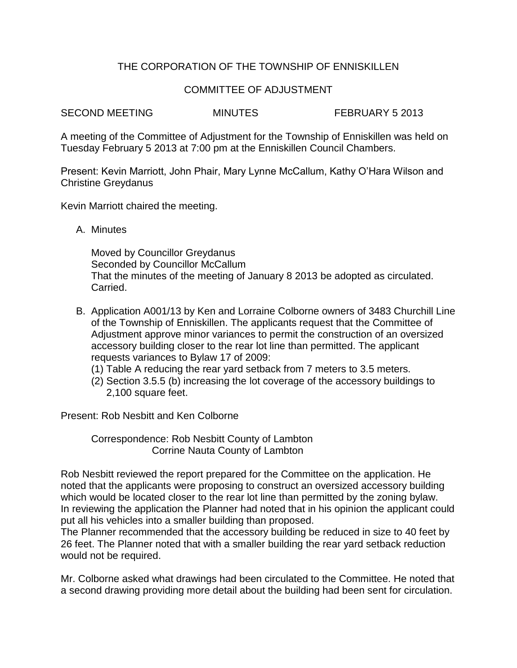## THE CORPORATION OF THE TOWNSHIP OF ENNISKILLEN

## COMMITTEE OF ADJUSTMENT

SECOND MEETING MINUTES FEBRUARY 5 2013

A meeting of the Committee of Adjustment for the Township of Enniskillen was held on Tuesday February 5 2013 at 7:00 pm at the Enniskillen Council Chambers.

Present: Kevin Marriott, John Phair, Mary Lynne McCallum, Kathy O'Hara Wilson and Christine Greydanus

Kevin Marriott chaired the meeting.

A. Minutes

Moved by Councillor Greydanus Seconded by Councillor McCallum That the minutes of the meeting of January 8 2013 be adopted as circulated. Carried.

- B. Application A001/13 by Ken and Lorraine Colborne owners of 3483 Churchill Line of the Township of Enniskillen. The applicants request that the Committee of Adjustment approve minor variances to permit the construction of an oversized accessory building closer to the rear lot line than permitted. The applicant requests variances to Bylaw 17 of 2009:
	- (1) Table A reducing the rear yard setback from 7 meters to 3.5 meters.
	- (2) Section 3.5.5 (b) increasing the lot coverage of the accessory buildings to 2,100 square feet.

Present: Rob Nesbitt and Ken Colborne

Correspondence: Rob Nesbitt County of Lambton Corrine Nauta County of Lambton

Rob Nesbitt reviewed the report prepared for the Committee on the application. He noted that the applicants were proposing to construct an oversized accessory building which would be located closer to the rear lot line than permitted by the zoning bylaw. In reviewing the application the Planner had noted that in his opinion the applicant could put all his vehicles into a smaller building than proposed.

The Planner recommended that the accessory building be reduced in size to 40 feet by 26 feet. The Planner noted that with a smaller building the rear yard setback reduction would not be required.

Mr. Colborne asked what drawings had been circulated to the Committee. He noted that a second drawing providing more detail about the building had been sent for circulation.